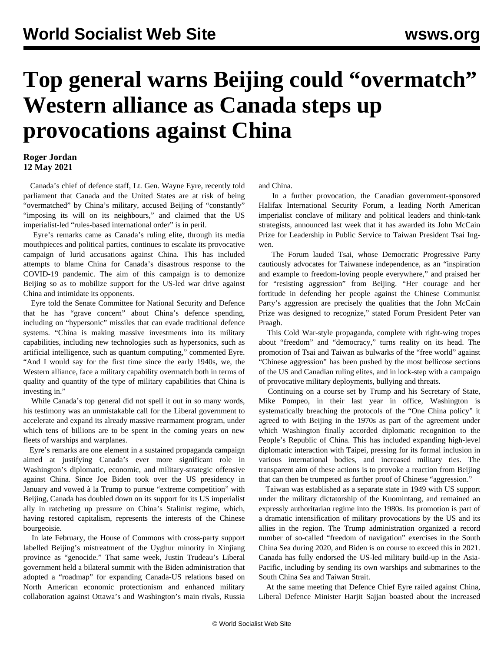## **Top general warns Beijing could "overmatch" Western alliance as Canada steps up provocations against China**

## **Roger Jordan 12 May 2021**

 Canada's chief of defence staff, Lt. Gen. Wayne Eyre, recently told parliament that Canada and the United States are at risk of being "overmatched" by China's military, accused Beijing of "constantly" "imposing its will on its neighbours," and claimed that the US imperialist-led "rules-based international order" is in peril.

 Eyre's remarks came as Canada's ruling elite, through its media mouthpieces and political parties, continues to escalate its provocative campaign of lurid accusations against China. This has included attempts to blame China for Canada's disastrous response to the COVID-19 pandemic. The aim of this campaign is to demonize Beijing so as to mobilize support for the US-led war drive against China and intimidate its opponents.

 Eyre told the Senate Committee for National Security and Defence that he has "grave concern" about China's defence spending, including on "hypersonic" missiles that can evade traditional defence systems. "China is making massive investments into its military capabilities, including new technologies such as hypersonics, such as artificial intelligence, such as quantum computing," commented Eyre. "And I would say for the first time since the early 1940s, we, the Western alliance, face a military capability overmatch both in terms of quality and quantity of the type of military capabilities that China is investing in."

 While Canada's top general did not spell it out in so many words, his testimony was an unmistakable call for the Liberal government to accelerate and expand its already massive rearmament program, under which tens of billions are to be spent in the coming years on new fleets of warships and warplanes.

 Eyre's remarks are one element in a sustained propaganda campaign aimed at justifying Canada's ever more significant role in Washington's diplomatic, economic, and military-strategic offensive against China. Since Joe Biden took over the US presidency in January and vowed à la Trump to pursue "extreme competition" with Beijing, Canada has doubled down on its support for its US imperialist ally in ratcheting up pressure on China's Stalinist regime, which, having restored capitalism, represents the interests of the Chinese bourgeoisie.

 In late February, the House of Commons with cross-party support labelled Beijing's mistreatment of the Uyghur minority in Xinjiang province as "genocide." That same week, Justin Trudeau's Liberal government held a bilateral summit with the Biden administration that adopted a "roadmap" for expanding Canada-US relations based on North American economic protectionism and enhanced military collaboration against Ottawa's and Washington's main rivals, Russia and China.

 In a further provocation, the Canadian government-sponsored Halifax International Security Forum, a leading North American imperialist conclave of military and political leaders and think-tank strategists, announced last week that it has awarded its John McCain Prize for Leadership in Public Service to Taiwan President Tsai Ingwen.

 The Forum lauded Tsai, whose Democratic Progressive Party cautiously advocates for Taiwanese independence, as an "inspiration and example to freedom-loving people everywhere," and praised her for "resisting aggression" from Beijing. "Her courage and her fortitude in defending her people against the Chinese Communist Party's aggression are precisely the qualities that the John McCain Prize was designed to recognize," stated Forum President Peter van Praagh.

 This Cold War-style propaganda, complete with right-wing tropes about "freedom" and "democracy," turns reality on its head. The promotion of Tsai and Taiwan as bulwarks of the "free world" against "Chinese aggression" has been pushed by the most bellicose sections of the US and Canadian ruling elites, and in lock-step with a campaign of provocative military deployments, bullying and threats.

 Continuing on a course set by Trump and his Secretary of State, Mike Pompeo, in their last year in office, Washington is systematically breaching the protocols of the "One China policy" it agreed to with Beijing in the 1970s as part of the agreement under which Washington finally accorded diplomatic recognition to the People's Republic of China. This has included expanding high-level diplomatic interaction with Taipei, pressing for its formal inclusion in various international bodies, and increased military ties. The transparent aim of these actions is to provoke a reaction from Beijing that can then be trumpeted as further proof of Chinese "aggression."

 Taiwan was established as a separate state in 1949 with US support under the military dictatorship of the Kuomintang, and remained an expressly authoritarian regime into the 1980s. Its promotion is part of a dramatic intensification of military provocations by the US and its allies in the region. The Trump administration organized a record number of so-called "freedom of navigation" exercises in the South China Sea during 2020, and Biden is on course to exceed this in 2021. Canada has fully endorsed the US-led military build-up in the Asia-Pacific, including by sending its own warships and submarines to the South China Sea and Taiwan Strait.

 At the same meeting that Defence Chief Eyre railed against China, Liberal Defence Minister Harjit Sajjan boasted about the increased